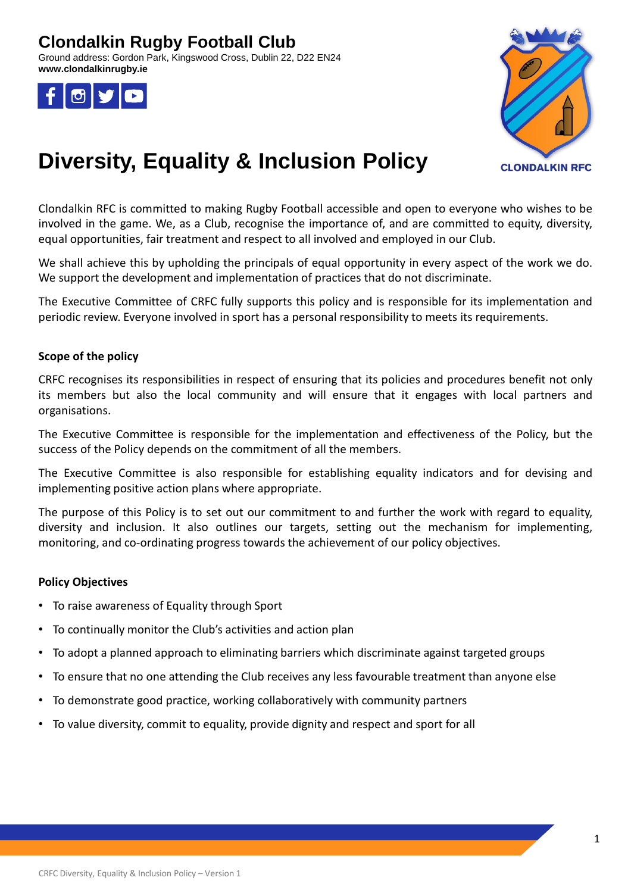## **Clondalkin Rugby Football Club**

Ground address: Gordon Park, Kingswood Cross, Dublin 22, D22 EN24 **www.clondalkinrugby.ie**





# **Diversity, Equality & Inclusion Policy**

Clondalkin RFC is committed to making Rugby Football accessible and open to everyone who wishes to be involved in the game. We, as a Club, recognise the importance of, and are committed to equity, diversity, equal opportunities, fair treatment and respect to all involved and employed in our Club.

We shall achieve this by upholding the principals of equal opportunity in every aspect of the work we do. We support the development and implementation of practices that do not discriminate.

The Executive Committee of CRFC fully supports this policy and is responsible for its implementation and periodic review. Everyone involved in sport has a personal responsibility to meets its requirements.

### **Scope of the policy**

CRFC recognises its responsibilities in respect of ensuring that its policies and procedures benefit not only its members but also the local community and will ensure that it engages with local partners and organisations.

The Executive Committee is responsible for the implementation and effectiveness of the Policy, but the success of the Policy depends on the commitment of all the members.

The Executive Committee is also responsible for establishing equality indicators and for devising and implementing positive action plans where appropriate.

The purpose of this Policy is to set out our commitment to and further the work with regard to equality, diversity and inclusion. It also outlines our targets, setting out the mechanism for implementing, monitoring, and co-ordinating progress towards the achievement of our policy objectives.

### **Policy Objectives**

- To raise awareness of Equality through Sport
- To continually monitor the Club's activities and action plan
- To adopt a planned approach to eliminating barriers which discriminate against targeted groups
- To ensure that no one attending the Club receives any less favourable treatment than anyone else
- To demonstrate good practice, working collaboratively with community partners
- To value diversity, commit to equality, provide dignity and respect and sport for all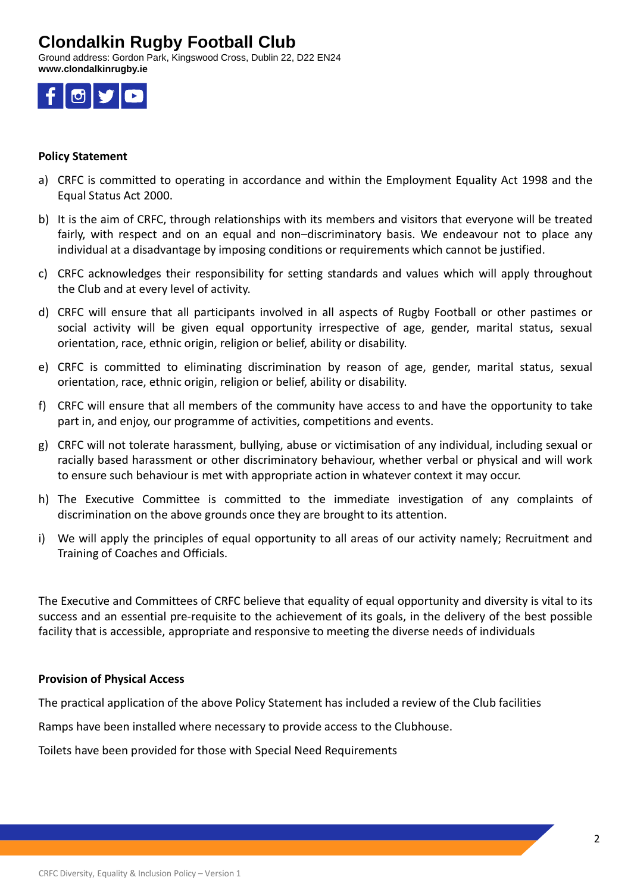### **Clondalkin Rugby Football Club**

Ground address: Gordon Park, Kingswood Cross, Dublin 22, D22 EN24 **www.clondalkinrugby.ie**



### **Policy Statement**

- a) CRFC is committed to operating in accordance and within the Employment Equality Act 1998 and the Equal Status Act 2000.
- b) It is the aim of CRFC, through relationships with its members and visitors that everyone will be treated fairly, with respect and on an equal and non–discriminatory basis. We endeavour not to place any individual at a disadvantage by imposing conditions or requirements which cannot be justified.
- c) CRFC acknowledges their responsibility for setting standards and values which will apply throughout the Club and at every level of activity.
- d) CRFC will ensure that all participants involved in all aspects of Rugby Football or other pastimes or social activity will be given equal opportunity irrespective of age, gender, marital status, sexual orientation, race, ethnic origin, religion or belief, ability or disability.
- e) CRFC is committed to eliminating discrimination by reason of age, gender, marital status, sexual orientation, race, ethnic origin, religion or belief, ability or disability.
- f) CRFC will ensure that all members of the community have access to and have the opportunity to take part in, and enjoy, our programme of activities, competitions and events.
- g) CRFC will not tolerate harassment, bullying, abuse or victimisation of any individual, including sexual or racially based harassment or other discriminatory behaviour, whether verbal or physical and will work to ensure such behaviour is met with appropriate action in whatever context it may occur.
- h) The Executive Committee is committed to the immediate investigation of any complaints of discrimination on the above grounds once they are brought to its attention.
- i) We will apply the principles of equal opportunity to all areas of our activity namely; Recruitment and Training of Coaches and Officials.

The Executive and Committees of CRFC believe that equality of equal opportunity and diversity is vital to its success and an essential pre-requisite to the achievement of its goals, in the delivery of the best possible facility that is accessible, appropriate and responsive to meeting the diverse needs of individuals

#### **Provision of Physical Access**

The practical application of the above Policy Statement has included a review of the Club facilities

Ramps have been installed where necessary to provide access to the Clubhouse.

Toilets have been provided for those with Special Need Requirements